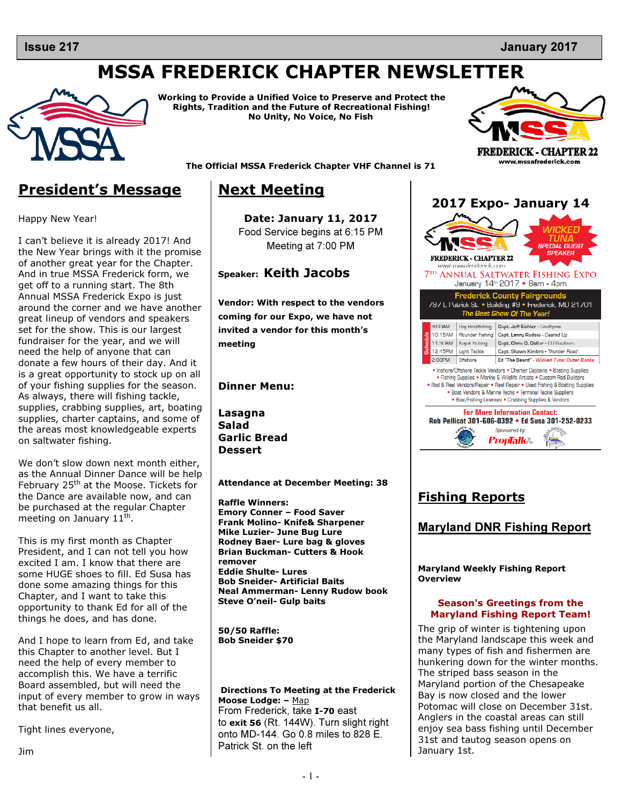### **Issue 217**

# MSSA FREDERICK CHAPTER NEWSLETTER



Working to Provide a Unified Voice to Preserve and Protect the Rights, Tradition and the Future of Recreational Fishing! No Unity, No Voice, No Fish



www.mssafrederick.com The Official MSSA Frederick Chapter VHF Channel is 71

# President's Message

Happy New Year!

I can't believe it is already 2017! And the New Year brings with it the promise of another great year for the Chapter. And in true MSSA Frederick form, we get off to a running start. The 8th Annual MSSA Frederick Expo is just around the corner and we have another great lineup of vendors and speakers set for the show. This is our largest fundraiser for the year, and we will need the help of anyone that can donate a few hours of their day. And it is a great opportunity to stock up on all of your fishing supplies for the season. As always, there will fishing tackle, supplies, crabbing supplies, art, boating supplies, charter captains, and some of the areas most knowledgeable experts on saltwater fishing.

We don't slow down next month either, as the Annual Dinner Dance will be help February 25<sup>th</sup> at the Moose. Tickets for the Dance are available now, and can be purchased at the regular Chapter meeting on January  $11^{\text{th}}$ .

This is my first month as Chapter President, and I can not tell you how excited I am. I know that there are some HUGE shoes to fill. Ed Susa has done some amazing things for this Chapter, and I want to take this opportunity to thank Ed for all of the things he does, and has done.

And I hope to learn from Ed, and take this Chapter to another level. But I need the help of every member to accomplish this. We have a terrific Board assembled, but will need the input of every member to grow in ways that benefit us all.

Tight lines everyone,

# Next Meeting

Date: January 11, 2017 Food Service begins at 6:15 PM Meeting at 7:00 PM

## Speaker: Keith Jacobs

Vendor: With respect to the vendors coming for our Expo, we have not invited a vendor for this month's meeting

#### Dinner Menu:

Lasagna Salad Garlic Bread Dessert

Attendance at December Meeting: 38

Raffle Winners: Emory Conner – Food Saver Frank Molino- Knife& Sharpener Mike Luzier- June Bug Lure Rodney Baer- Lure bag & gloves Brian Buckman- Cutters & Hook remover Eddie Shulte- Lures Bob Sneider- Artificial Baits Neal Ammerman- Lenny Rudow book Steve O'neil- Gulp baits

50/50 Raffle: Bob Sneider \$70

Directions To Meeting at the Frederick Moose Lodge: – Map From Frederick, take I-70 east to exit 56 (Rt. 144W). Turn slight right onto MD-144. Go 0.8 miles to 828 E. Patrick St. on the left



# Fishing Reports

## Maryland DNR Fishing Report

Maryland Weekly Fishing Report **Overview** 

#### Season's Greetings from the Maryland Fishing Report Team!

The grip of winter is tightening upon the Maryland landscape this week and many types of fish and fishermen are hunkering down for the winter months. The striped bass season in the Maryland portion of the Chesapeake Bay is now closed and the lower Potomac will close on December 31st. Anglers in the coastal areas can still enjoy sea bass fishing until December 31st and tautog season opens on January 1st.

Jim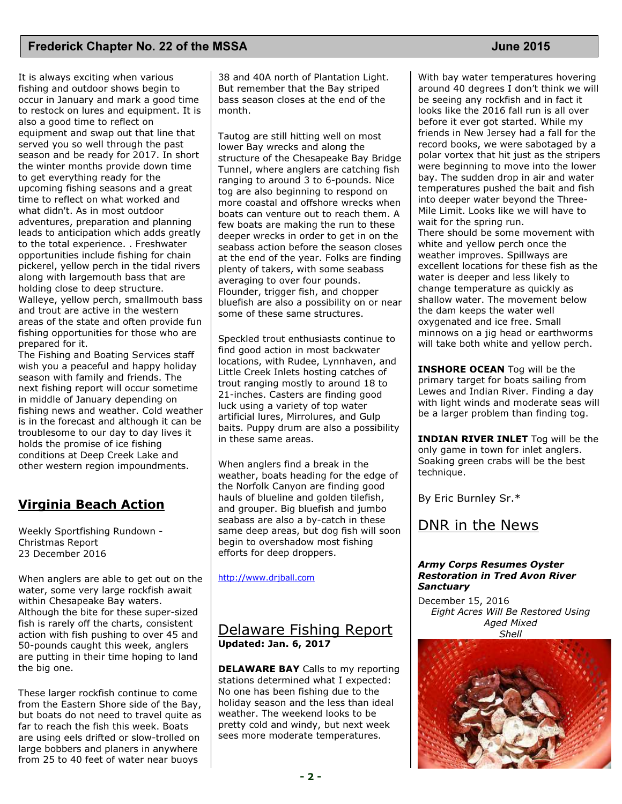### **Frederick Chapter No. 22 of the MSSA June 2015**

It is always exciting when various fishing and outdoor shows begin to occur in January and mark a good time to restock on lures and equipment. It is also a good time to reflect on equipment and swap out that line that served you so well through the past season and be ready for 2017. In short the winter months provide down time to get everything ready for the upcoming fishing seasons and a great time to reflect on what worked and what didn't. As in most outdoor adventures, preparation and planning leads to anticipation which adds greatly to the total experience. . Freshwater opportunities include fishing for chain pickerel, yellow perch in the tidal rivers along with largemouth bass that are holding close to deep structure. Walleye, yellow perch, smallmouth bass and trout are active in the western areas of the state and often provide fun fishing opportunities for those who are prepared for it.

The Fishing and Boating Services staff wish you a peaceful and happy holiday season with family and friends. The next fishing report will occur sometime in middle of January depending on fishing news and weather. Cold weather is in the forecast and although it can be troublesome to our day to day lives it holds the promise of ice fishing conditions at Deep Creek Lake and other western region impoundments.

## Virginia Beach Action

Weekly Sportfishing Rundown - Christmas Report 23 December 2016

When anglers are able to get out on the water, some very large rockfish await within Chesapeake Bay waters. Although the bite for these super-sized fish is rarely off the charts, consistent action with fish pushing to over 45 and 50-pounds caught this week, anglers are putting in their time hoping to land the big one.

These larger rockfish continue to come from the Eastern Shore side of the Bay, but boats do not need to travel quite as far to reach the fish this week. Boats are using eels drifted or slow-trolled on large bobbers and planers in anywhere from 25 to 40 feet of water near buoys

38 and 40A north of Plantation Light. But remember that the Bay striped bass season closes at the end of the month.

Tautog are still hitting well on most lower Bay wrecks and along the structure of the Chesapeake Bay Bridge Tunnel, where anglers are catching fish ranging to around 3 to 6-pounds. Nice tog are also beginning to respond on more coastal and offshore wrecks when boats can venture out to reach them. A few boats are making the run to these deeper wrecks in order to get in on the seabass action before the season closes at the end of the year. Folks are finding plenty of takers, with some seabass averaging to over four pounds. Flounder, trigger fish, and chopper bluefish are also a possibility on or near some of these same structures.

Speckled trout enthusiasts continue to find good action in most backwater locations, with Rudee, Lynnhaven, and Little Creek Inlets hosting catches of trout ranging mostly to around 18 to 21-inches. Casters are finding good luck using a variety of top water artificial lures, Mirrolures, and Gulp baits. Puppy drum are also a possibility in these same areas.

When anglers find a break in the weather, boats heading for the edge of the Norfolk Canyon are finding good hauls of blueline and golden tilefish, and grouper. Big bluefish and jumbo seabass are also a by-catch in these same deep areas, but dog fish will soon begin to overshadow most fishing efforts for deep droppers.

http://www.drjball.com

## Delaware Fishing Report Updated: Jan. 6, 2017

DELAWARE BAY Calls to my reporting stations determined what I expected: No one has been fishing due to the holiday season and the less than ideal weather. The weekend looks to be pretty cold and windy, but next week sees more moderate temperatures.

With bay water temperatures hovering around 40 degrees I don't think we will be seeing any rockfish and in fact it looks like the 2016 fall run is all over before it ever got started. While my friends in New Jersey had a fall for the record books, we were sabotaged by a polar vortex that hit just as the stripers were beginning to move into the lower bay. The sudden drop in air and water temperatures pushed the bait and fish into deeper water beyond the Three-Mile Limit. Looks like we will have to wait for the spring run. There should be some movement with white and yellow perch once the weather improves. Spillways are excellent locations for these fish as the water is deeper and less likely to change temperature as quickly as shallow water. The movement below the dam keeps the water well oxygenated and ice free. Small minnows on a jig head or earthworms will take both white and yellow perch.

**INSHORE OCEAN** Tog will be the primary target for boats sailing from Lewes and Indian River. Finding a day with light winds and moderate seas will be a larger problem than finding tog.

**INDIAN RIVER INLET** Tog will be the only game in town for inlet anglers. Soaking green crabs will be the best technique.

By Eric Burnley Sr.\*

# DNR in the News

#### Army Corps Resumes Oyster Restoration in Tred Avon River **Sanctuary**

December 15, 2016 Eight Acres Will Be Restored Using Aged Mixed **Shell** 

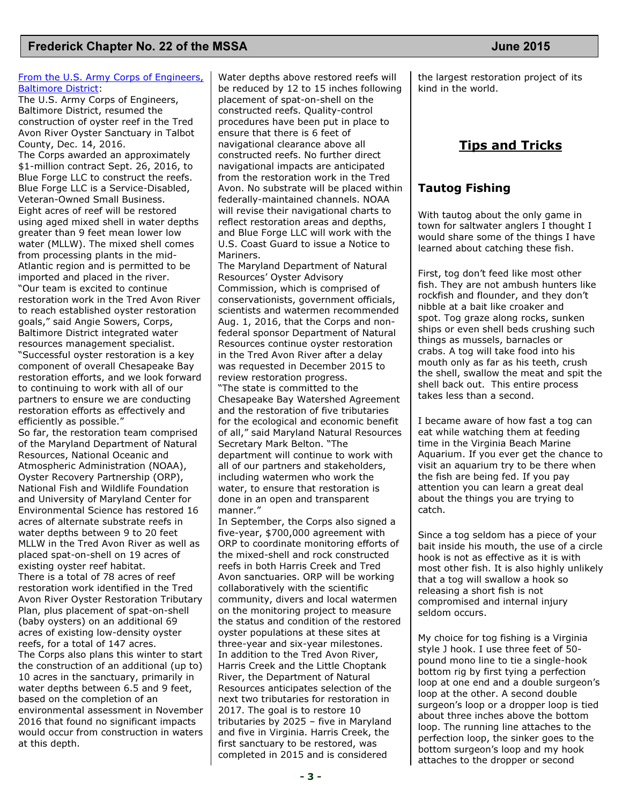#### From the U.S. Army Corps of Engineers, Baltimore District:

The U.S. Army Corps of Engineers, Baltimore District, resumed the construction of oyster reef in the Tred Avon River Oyster Sanctuary in Talbot County, Dec. 14, 2016.

The Corps awarded an approximately \$1-million contract Sept. 26, 2016, to Blue Forge LLC to construct the reefs. Blue Forge LLC is a Service-Disabled, Veteran-Owned Small Business. Eight acres of reef will be restored using aged mixed shell in water depths greater than 9 feet mean lower low water (MLLW). The mixed shell comes from processing plants in the mid-Atlantic region and is permitted to be imported and placed in the river. "Our team is excited to continue restoration work in the Tred Avon River to reach established oyster restoration goals," said Angie Sowers, Corps, Baltimore District integrated water resources management specialist. "Successful oyster restoration is a key component of overall Chesapeake Bay restoration efforts, and we look forward to continuing to work with all of our partners to ensure we are conducting restoration efforts as effectively and efficiently as possible."

So far, the restoration team comprised of the Maryland Department of Natural Resources, National Oceanic and Atmospheric Administration (NOAA), Oyster Recovery Partnership (ORP), National Fish and Wildlife Foundation and University of Maryland Center for Environmental Science has restored 16 acres of alternate substrate reefs in water depths between 9 to 20 feet MLLW in the Tred Avon River as well as placed spat-on-shell on 19 acres of existing oyster reef habitat. There is a total of 78 acres of reef restoration work identified in the Tred Avon River Oyster Restoration Tributary Plan, plus placement of spat-on-shell (baby oysters) on an additional 69 acres of existing low-density oyster reefs, for a total of 147 acres. The Corps also plans this winter to start the construction of an additional (up to) 10 acres in the sanctuary, primarily in water depths between 6.5 and 9 feet, based on the completion of an environmental assessment in November 2016 that found no significant impacts would occur from construction in waters at this depth.

Water depths above restored reefs will be reduced by 12 to 15 inches following placement of spat-on-shell on the constructed reefs. Quality-control procedures have been put in place to ensure that there is 6 feet of navigational clearance above all constructed reefs. No further direct navigational impacts are anticipated from the restoration work in the Tred Avon. No substrate will be placed within federally-maintained channels. NOAA will revise their navigational charts to reflect restoration areas and depths, and Blue Forge LLC will work with the U.S. Coast Guard to issue a Notice to Mariners.

The Maryland Department of Natural Resources' Oyster Advisory Commission, which is comprised of conservationists, government officials, scientists and watermen recommended Aug. 1, 2016, that the Corps and nonfederal sponsor Department of Natural Resources continue oyster restoration in the Tred Avon River after a delay was requested in December 2015 to review restoration progress. "The state is committed to the

Chesapeake Bay Watershed Agreement and the restoration of five tributaries for the ecological and economic benefit of all," said Maryland Natural Resources Secretary Mark Belton. "The department will continue to work with all of our partners and stakeholders, including watermen who work the water, to ensure that restoration is done in an open and transparent manner."

In September, the Corps also signed a five-year, \$700,000 agreement with ORP to coordinate monitoring efforts of the mixed-shell and rock constructed reefs in both Harris Creek and Tred Avon sanctuaries. ORP will be working collaboratively with the scientific community, divers and local watermen on the monitoring project to measure the status and condition of the restored oyster populations at these sites at three-year and six-year milestones. In addition to the Tred Avon River, Harris Creek and the Little Choptank River, the Department of Natural Resources anticipates selection of the next two tributaries for restoration in 2017. The goal is to restore 10 tributaries by 2025 – five in Maryland and five in Virginia. Harris Creek, the first sanctuary to be restored, was completed in 2015 and is considered

the largest restoration project of its kind in the world.

## Tips and Tricks

### Tautog Fishing

With tautog about the only game in town for saltwater anglers I thought I would share some of the things I have learned about catching these fish.

First, tog don't feed like most other fish. They are not ambush hunters like rockfish and flounder, and they don't nibble at a bait like croaker and spot. Tog graze along rocks, sunken ships or even shell beds crushing such things as mussels, barnacles or crabs. A tog will take food into his mouth only as far as his teeth, crush the shell, swallow the meat and spit the shell back out. This entire process takes less than a second.

I became aware of how fast a tog can eat while watching them at feeding time in the Virginia Beach Marine Aquarium. If you ever get the chance to visit an aquarium try to be there when the fish are being fed. If you pay attention you can learn a great deal about the things you are trying to catch.

Since a tog seldom has a piece of your bait inside his mouth, the use of a circle hook is not as effective as it is with most other fish. It is also highly unlikely that a tog will swallow a hook so releasing a short fish is not compromised and internal injury seldom occurs.

My choice for tog fishing is a Virginia style J hook. I use three feet of 50 pound mono line to tie a single-hook bottom rig by first tying a perfection loop at one end and a double surgeon's loop at the other. A second double surgeon's loop or a dropper loop is tied about three inches above the bottom loop. The running line attaches to the perfection loop, the sinker goes to the bottom surgeon's loop and my hook attaches to the dropper or second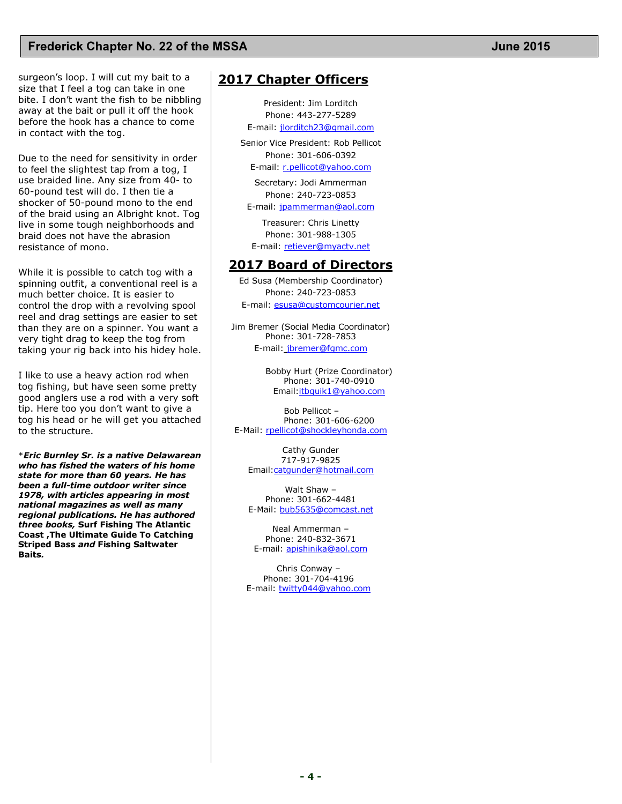### **Frederick Chapter No. 22 of the MSSA June 2015**

surgeon's loop. I will cut my bait to a size that I feel a tog can take in one bite. I don't want the fish to be nibbling away at the bait or pull it off the hook before the hook has a chance to come in contact with the tog.

Due to the need for sensitivity in order to feel the slightest tap from a tog, I use braided line. Any size from 40- to 60-pound test will do. I then tie a shocker of 50-pound mono to the end of the braid using an Albright knot. Tog live in some tough neighborhoods and braid does not have the abrasion resistance of mono.

While it is possible to catch tog with a spinning outfit, a conventional reel is a much better choice. It is easier to control the drop with a revolving spool reel and drag settings are easier to set than they are on a spinner. You want a very tight drag to keep the tog from taking your rig back into his hidey hole.

I like to use a heavy action rod when tog fishing, but have seen some pretty good anglers use a rod with a very soft tip. Here too you don't want to give a tog his head or he will get you attached to the structure.

\*Eric Burnley Sr. is a native Delawarean who has fished the waters of his home state for more than 60 years. He has been a full-time outdoor writer since 1978, with articles appearing in most national magazines as well as many regional publications. He has authored three books, Surf Fishing The Atlantic Coast ,The Ultimate Guide To Catching Striped Bass and Fishing Saltwater Baits.

## 2017 Chapter Officers

President: Jim Lorditch Phone: 443-277-5289 E-mail: jlorditch23@gmail.com

Senior Vice President: Rob Pellicot Phone: 301-606-0392 E-mail: r.pellicot@yahoo.com

> Secretary: Jodi Ammerman Phone: 240-723-0853

E-mail: jpammerman@aol.com

Treasurer: Chris Linetty Phone: 301-988-1305 E-mail: retiever@myactv.net

#### 2017 Board of Directors

Ed Susa (Membership Coordinator) Phone: 240-723-0853 E-mail: esusa@customcourier.net

Jim Bremer (Social Media Coordinator) Phone: 301-728-7853 E-mail: jbremer@fgmc.com

> Bobby Hurt (Prize Coordinator) Phone: 301-740-0910 Email:itbquik1@yahoo.com

 Bob Pellicot – Phone: 301-606-6200 E-Mail: rpellicot@shockleyhonda.com

Cathy Gunder 717-917-9825 Email:catgunder@hotmail.com

Walt Shaw – Phone: 301-662-4481 E-Mail: bub5635@comcast.net

Neal Ammerman – Phone: 240-832-3671 E-mail: apishinika@aol.com

Chris Conway – Phone: 301-704-4196 E-mail: twitty044@yahoo.com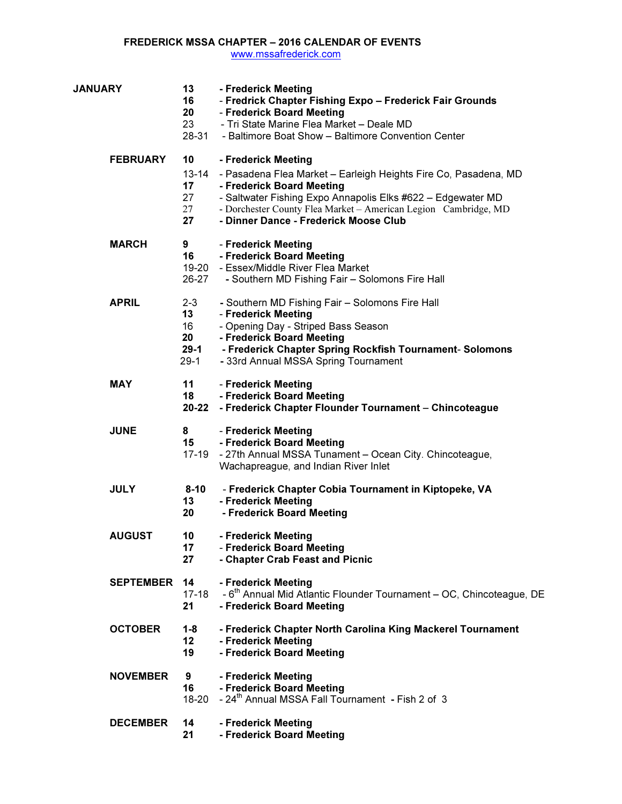#### FREDERICK MSSA CHAPTER – 2016 CALENDAR OF EVENTS

www.mssafrederick.com

| <b>JANUARY</b>   | 13<br>16<br>20<br>23<br>28-31                 | - Frederick Meeting<br>- Fredrick Chapter Fishing Expo - Frederick Fair Grounds<br>- Frederick Board Meeting<br>- Tri State Marine Flea Market - Deale MD<br>- Baltimore Boat Show - Baltimore Convention Center                                                                               |
|------------------|-----------------------------------------------|------------------------------------------------------------------------------------------------------------------------------------------------------------------------------------------------------------------------------------------------------------------------------------------------|
| <b>FEBRUARY</b>  | 10<br>$13 - 14$<br>17<br>27<br>27<br>27       | - Frederick Meeting<br>- Pasadena Flea Market - Earleigh Heights Fire Co, Pasadena, MD<br>- Frederick Board Meeting<br>- Saltwater Fishing Expo Annapolis Elks #622 - Edgewater MD<br>- Dorchester County Flea Market - American Legion Cambridge, MD<br>- Dinner Dance - Frederick Moose Club |
| <b>MARCH</b>     | 9<br>16<br>26-27                              | - Frederick Meeting<br>- Frederick Board Meeting<br>19-20 - Essex/Middle River Flea Market<br>- Southern MD Fishing Fair - Solomons Fire Hall                                                                                                                                                  |
| <b>APRIL</b>     | $2 - 3$<br>13<br>16<br>20<br>$29-1$<br>$29-1$ | - Southern MD Fishing Fair - Solomons Fire Hall<br>- Frederick Meeting<br>- Opening Day - Striped Bass Season<br>- Frederick Board Meeting<br>- Frederick Chapter Spring Rockfish Tournament- Solomons<br>- 33rd Annual MSSA Spring Tournament                                                 |
| <b>MAY</b>       | 11<br>18<br>$20 - 22$                         | - Frederick Meeting<br>- Frederick Board Meeting<br>- Frederick Chapter Flounder Tournament - Chincoteague                                                                                                                                                                                     |
| <b>JUNE</b>      | 8<br>15<br>17-19                              | - Frederick Meeting<br>- Frederick Board Meeting<br>- 27th Annual MSSA Tunament - Ocean City. Chincoteague,<br>Wachapreague, and Indian River Inlet                                                                                                                                            |
| <b>JULY</b>      | $8 - 10$<br>13<br>20                          | - Frederick Chapter Cobia Tournament in Kiptopeke, VA<br>- Frederick Meeting<br>- Frederick Board Meeting                                                                                                                                                                                      |
| <b>AUGUST</b>    | 10<br>17<br>27                                | - Frederick Meeting<br>- Frederick Board Meeting<br>- Chapter Crab Feast and Picnic                                                                                                                                                                                                            |
| <b>SEPTEMBER</b> | 14<br>$17 - 18$<br>21                         | - Frederick Meeting<br>- 6 <sup>th</sup> Annual Mid Atlantic Flounder Tournament – OC, Chincoteague, DE<br>- Frederick Board Meeting                                                                                                                                                           |
| <b>OCTOBER</b>   | $1 - 8$<br>12 <sub>2</sub><br>19              | - Frederick Chapter North Carolina King Mackerel Tournament<br>- Frederick Meeting<br>- Frederick Board Meeting                                                                                                                                                                                |
| <b>NOVEMBER</b>  | 9<br>16<br>$18 - 20$                          | - Frederick Meeting<br>- Frederick Board Meeting<br>- 24 <sup>th</sup> Annual MSSA Fall Tournament - Fish 2 of 3                                                                                                                                                                               |
| <b>DECEMBER</b>  | 14<br>21                                      | - Frederick Meeting<br>- Frederick Board Meeting                                                                                                                                                                                                                                               |